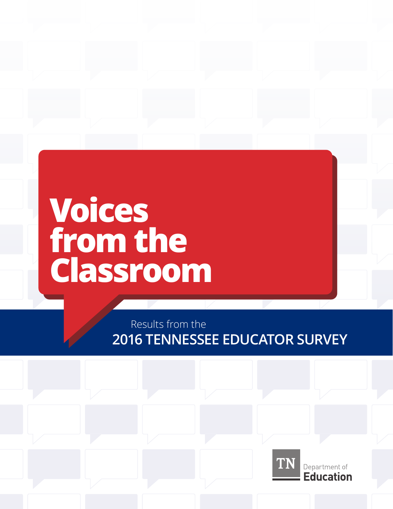# **Voices from the Classroom**

Results from the **2016 TENNESSEE EDUCATOR SURVEY**

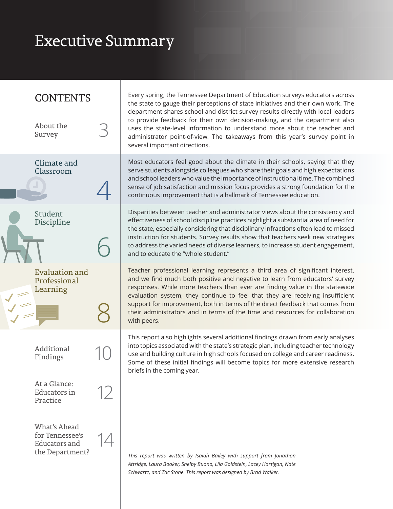## Executive Summary

### **CONTENTS**

About the Survey Climate and Classroom Student Discipline Evaluation and Professional Learning Additional Findings What's Ahead for Tennessee's Educators and the Department? At a Glance: Educators in Practice 3 10 14 12 4 6 8

Every spring, the Tennessee Department of Education surveys educators across the state to gauge their perceptions of state initiatives and their own work. The department shares school and district survey results directly with local leaders to provide feedback for their own decision-making, and the department also uses the state-level information to understand more about the teacher and administrator point-of-view. The takeaways from this year's survey point in several important directions.

Most educators feel good about the climate in their schools, saying that they serve students alongside colleagues who share their goals and high expectations and school leaders who value the importance of instructional time. The combined sense of job satisfaction and mission focus provides a strong foundation for the continuous improvement that is a hallmark of Tennessee education.

Disparities between teacher and administrator views about the consistency and effectiveness of school discipline practices highlight a substantial area of need for the state, especially considering that disciplinary infractions often lead to missed instruction for students. Survey results show that teachers seek new strategies to address the varied needs of diverse learners, to increase student engagement, and to educate the "whole student."

Teacher professional learning represents a third area of significant interest, and we find much both positive and negative to learn from educators' survey responses. While more teachers than ever are finding value in the statewide evaluation system, they continue to feel that they are receiving insufficient support for improvement, both in terms of the direct feedback that comes from their administrators and in terms of the time and resources for collaboration with peers.

This report also highlights several additional findings drawn from early analyses into topics associated with the state's strategic plan, including teacher technology use and building culture in high schools focused on college and career readiness. Some of these initial findings will become topics for more extensive research briefs in the coming year.

*This report was written by Isaiah Bailey with support from Jonathon Attridge, Laura Booker, Shelby Buono, Lila Goldstein, Lacey Hartigan, Nate Schwartz, and Zac Stone. This report was designed by Brad Walker.*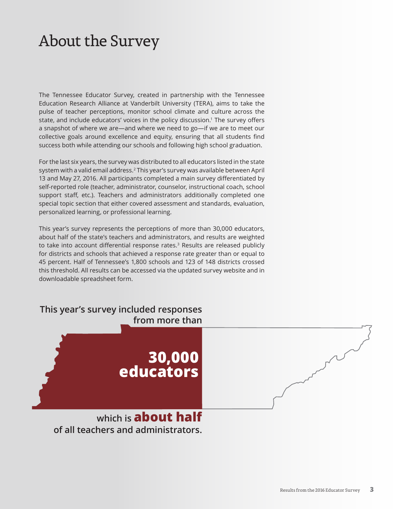### About the Survey

The Tennessee Educator Survey, created in partnership with the Tennessee Education Research Alliance at Vanderbilt University (TERA), aims to take the pulse of teacher perceptions, monitor school climate and culture across the state, and include educators' voices in the policy discussion.1 The survey offers a snapshot of where we are—and where we need to go—if we are to meet our collective goals around excellence and equity, ensuring that all students find success both while attending our schools and following high school graduation.

For the last six years, the survey was distributed to all educators listed in the state system with a valid email address.2 This year's survey was available between April 13 and May 27, 2016. All participants completed a main survey differentiated by self-reported role (teacher, administrator, counselor, instructional coach, school support staff, etc.). Teachers and administrators additionally completed one special topic section that either covered assessment and standards, evaluation, personalized learning, or professional learning.

This year's survey represents the perceptions of more than 30,000 educators, about half of the state's teachers and administrators, and results are weighted to take into account differential response rates.<sup>3</sup> Results are released publicly for districts and schools that achieved a response rate greater than or equal to 45 percent. Half of Tennessee's 1,800 schools and 123 of 148 districts crossed this threshold. All results can be accessed via the updated survey website and in downloadable spreadsheet form.

| This year's survey included responses<br>from more than |  |
|---------------------------------------------------------|--|
| 30,000<br>  educators                                   |  |
| which is <b>about half</b>                              |  |

**of all teachers and administrators.**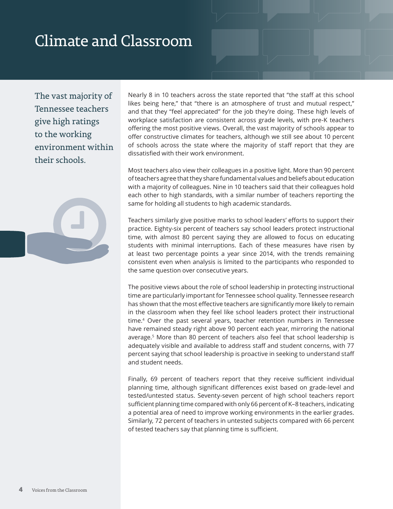## Climate and Classroom

The vast majority of Tennessee teachers give high ratings to the working environment within their schools.

Nearly 8 in 10 teachers across the state reported that "the staff at this school likes being here," that "there is an atmosphere of trust and mutual respect," and that they "feel appreciated" for the job they're doing. These high levels of workplace satisfaction are consistent across grade levels, with pre-K teachers offering the most positive views. Overall, the vast majority of schools appear to offer constructive climates for teachers, although we still see about 10 percent of schools across the state where the majority of staff report that they are dissatisfied with their work environment.

Most teachers also view their colleagues in a positive light. More than 90 percent of teachers agree that they share fundamental values and beliefs about education with a majority of colleagues. Nine in 10 teachers said that their colleagues hold each other to high standards, with a similar number of teachers reporting the same for holding all students to high academic standards.

Teachers similarly give positive marks to school leaders' efforts to support their practice. Eighty-six percent of teachers say school leaders protect instructional time, with almost 80 percent saying they are allowed to focus on educating students with minimal interruptions. Each of these measures have risen by at least two percentage points a year since 2014, with the trends remaining consistent even when analysis is limited to the participants who responded to the same question over consecutive years.

The positive views about the role of school leadership in protecting instructional time are particularly important for Tennessee school quality. Tennessee research has shown that the most effective teachers are significantly more likely to remain in the classroom when they feel like school leaders protect their instructional time.4 Over the past several years, teacher retention numbers in Tennessee have remained steady right above 90 percent each year, mirroring the national average.5 More than 80 percent of teachers also feel that school leadership is adequately visible and available to address staff and student concerns, with 77 percent saying that school leadership is proactive in seeking to understand staff and student needs.

Finally, 69 percent of teachers report that they receive sufficient individual planning time, although significant differences exist based on grade-level and tested/untested status. Seventy-seven percent of high school teachers report sufficient planning time compared with only 66 percent of K–8 teachers, indicating a potential area of need to improve working environments in the earlier grades. Similarly, 72 percent of teachers in untested subjects compared with 66 percent of tested teachers say that planning time is sufficient.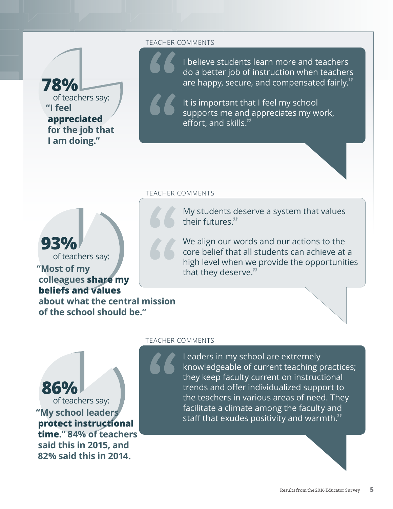**"I feel appreciated for the job that I am doing." 78%** of teachers say:

#### TEACHER COMMENTS

**"**

**"**

I believe students learn more and teachers do a better job of instruction when teachers are happy, secure, and compensated fairly.**"**

It is important that I feel my school supports me and appreciates my work, effort, and skills.**"**

#### TEACHER COMMENTS

**"**

My students deserve a system that values their futures.**"**

We align our words and our actions to the core belief that all students can achieve at a high level when we provide the opportunities that they deserve.**"**

## **93%**

of teachers say:

#### **"Most of my colleagues share my beliefs and values**

**about what the central mission of the school should be." 66**<br>
nission

#### TEACHER COMMENTS

**"**

Leaders in my school are extremely knowledgeable of current teaching practices; they keep faculty current on instructional trends and offer individualized support to the teachers in various areas of need. They facilitate a climate among the faculty and staff that exudes positivity and warmth.**"**



**said this in 2015, and 82% said this in 2014.**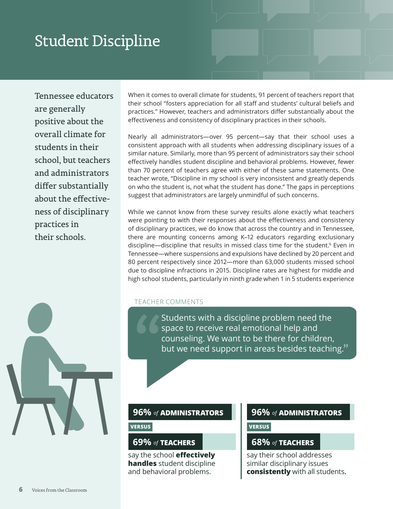### Student Discipline

Tennessee educators are generally positive about the overall climate for students in their school, but teachers and administrators differ substantially about the effectiveness of disciplinary practices in their schools.

When it comes to overall climate for students, 91 percent of teachers report that their school "fosters appreciation for all staff and students' cultural beliefs and practices." However, teachers and administrators differ substantially about the effectiveness and consistency of disciplinary practices in their schools.

Nearly all administrators—over 95 percent—say that their school uses a consistent approach with all students when addressing disciplinary issues of a similar nature. Similarly, more than 95 percent of administrators say their school effectively handles student discipline and behavioral problems. However, fewer than 70 percent of teachers agree with either of these same statements. One teacher wrote, "Discipline in my school is very inconsistent and greatly depends on who the student is, not what the student has done." The gaps in perceptions suggest that administrators are largely unmindful of such concerns.

While we cannot know from these survey results alone exactly what teachers were pointing to with their responses about the effectiveness and consistency of disciplinary practices, we do know that across the country and in Tennessee, there are mounting concerns among K–12 educators regarding exclusionary discipline—discipline that results in missed class time for the student.<sup>6</sup> Even in Tennessee—where suspensions and expulsions have declined by 20 percent and 80 percent respectively since 2012—more than 63,000 students missed school due to discipline infractions in 2015. Discipline rates are highest for middle and high school students, particularly in ninth grade when 1 in 5 students experience

#### TEACHER COMMENTS

Students with a discipline problem need the space to receive real emotional help and counseling. We want to be there for children, **"** but we need support in areas besides teaching.**"**

#### **69%** *of* **TEACHERS 68%** *of* **TEACHERS**

say the school **effectively handles** student discipline and behavioral problems.

#### **96%** *of* **ADMINISTRATORS 96%** *of* **ADMINISTRATORS**

**VERSUS VERSUS**

say their school addresses similar disciplinary issues **consistently** with all students**.**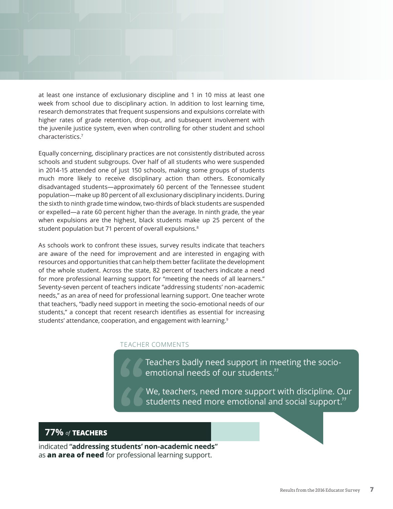at least one instance of exclusionary discipline and 1 in 10 miss at least one week from school due to disciplinary action. In addition to lost learning time, research demonstrates that frequent suspensions and expulsions correlate with higher rates of grade retention, drop-out, and subsequent involvement with the juvenile justice system, even when controlling for other student and school characteristics.7

Equally concerning, disciplinary practices are not consistently distributed across schools and student subgroups. Over half of all students who were suspended in 2014-15 attended one of just 150 schools, making some groups of students much more likely to receive disciplinary action than others. Economically disadvantaged students—approximately 60 percent of the Tennessee student population—make up 80 percent of all exclusionary disciplinary incidents. During the sixth to ninth grade time window, two-thirds of black students are suspended or expelled—a rate 60 percent higher than the average. In ninth grade, the year when expulsions are the highest, black students make up 25 percent of the student population but 71 percent of overall expulsions.<sup>8</sup>

As schools work to confront these issues, survey results indicate that teachers are aware of the need for improvement and are interested in engaging with resources and opportunities that can help them better facilitate the development of the whole student. Across the state, 82 percent of teachers indicate a need for more professional learning support for "meeting the needs of all learners." Seventy-seven percent of teachers indicate "addressing students' non-academic needs," as an area of need for professional learning support. One teacher wrote that teachers, "badly need support in meeting the socio-emotional needs of our students," a concept that recent research identifies as essential for increasing students' attendance, cooperation, and engagement with learning.<sup>9</sup>

#### TEACHER COMMENTS

Teachers badly need support in meeting the socioemotional needs of our students.**"**

We, teachers, need more support with discipline. Our students need more emotional and social support.**" " "**

#### **77%** *of* **TEACHERS**

indicated **"addressing students' non-academic needs"**  as **an area of need** for professional learning support.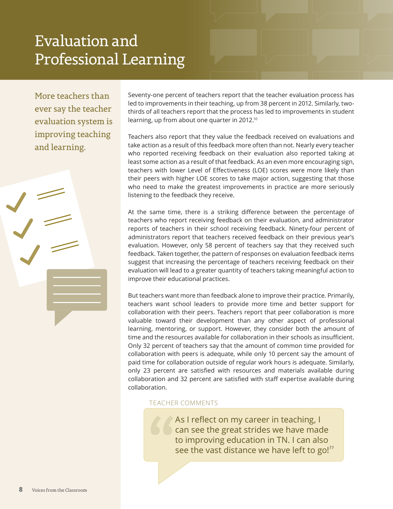### Evaluation and Professional Learning

More teachers than ever say the teacher evaluation system is improving teaching and learning.

Seventy-one percent of teachers report that the teacher evaluation process has led to improvements in their teaching, up from 38 percent in 2012. Similarly, twothirds of all teachers report that the process has led to improvements in student learning, up from about one quarter in 2012.10

Teachers also report that they value the feedback received on evaluations and take action as a result of this feedback more often than not. Nearly every teacher who reported receiving feedback on their evaluation also reported taking at least some action as a result of that feedback. As an even more encouraging sign, teachers with lower Level of Effectiveness (LOE) scores were more likely than their peers with higher LOE scores to take major action, suggesting that those who need to make the greatest improvements in practice are more seriously listening to the feedback they receive.

At the same time, there is a striking difference between the percentage of teachers who report receiving feedback on their evaluation, and administrator reports of teachers in their school receiving feedback. Ninety-four percent of administrators report that teachers received feedback on their previous year's evaluation. However, only 58 percent of teachers say that they received such feedback. Taken together, the pattern of responses on evaluation feedback items suggest that increasing the percentage of teachers receiving feedback on their evaluation will lead to a greater quantity of teachers taking meaningful action to improve their educational practices.

But teachers want more than feedback alone to improve their practice. Primarily, teachers want school leaders to provide more time and better support for collaboration with their peers. Teachers report that peer collaboration is more valuable toward their development than any other aspect of professional learning, mentoring, or support. However, they consider both the amount of time and the resources available for collaboration in their schools as insufficient. Only 32 percent of teachers say that the amount of common time provided for collaboration with peers is adequate, while only 10 percent say the amount of paid time for collaboration outside of regular work hours is adequate. Similarly, only 23 percent are satisfied with resources and materials available during collaboration and 32 percent are satisfied with staff expertise available during collaboration.

#### TEACHER COMMENTS

As I reflect on my career in teaching, I can see the great strides we have made to improving education in TN. I can also see the vast distance we have left to go!**"**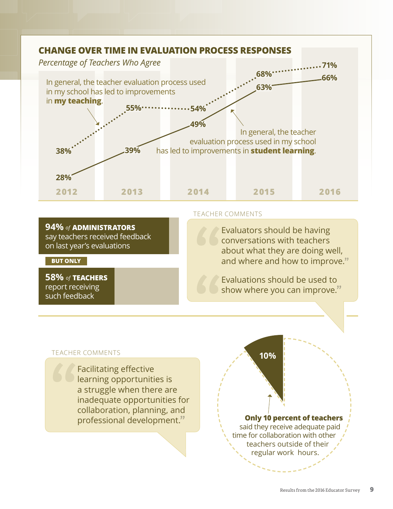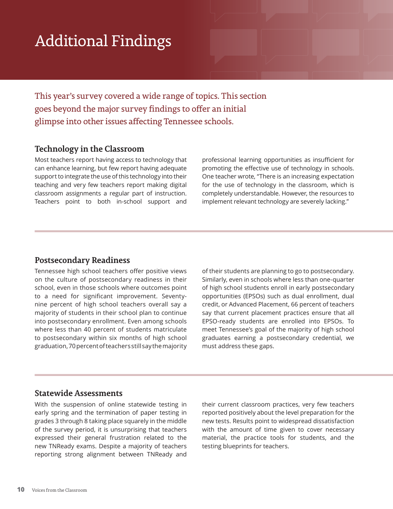## Additional Findings

This year's survey covered a wide range of topics. This section goes beyond the major survey findings to offer an initial glimpse into other issues affecting Tennessee schools.

#### **Technology in the Classroom**

Most teachers report having access to technology that can enhance learning, but few report having adequate support to integrate the use of this technology into their teaching and very few teachers report making digital classroom assignments a regular part of instruction. Teachers point to both in-school support and

professional learning opportunities as insufficient for promoting the effective use of technology in schools. One teacher wrote, "There is an increasing expectation for the use of technology in the classroom, which is completely understandable. However, the resources to implement relevant technology are severely lacking."

#### **Postsecondary Readiness**

Tennessee high school teachers offer positive views on the culture of postsecondary readiness in their school, even in those schools where outcomes point to a need for significant improvement. Seventynine percent of high school teachers overall say a majority of students in their school plan to continue into postsecondary enrollment. Even among schools where less than 40 percent of students matriculate to postsecondary within six months of high school graduation, 70 percent of teachers still say the majority of their students are planning to go to postsecondary. Similarly, even in schools where less than one-quarter of high school students enroll in early postsecondary opportunities (EPSOs) such as dual enrollment, dual credit, or Advanced Placement, 66 percent of teachers say that current placement practices ensure that all EPSO-ready students are enrolled into EPSOs. To meet Tennessee's goal of the majority of high school graduates earning a postsecondary credential, we must address these gaps.

#### **Statewide Assessments**

With the suspension of online statewide testing in early spring and the termination of paper testing in grades 3 through 8 taking place squarely in the middle of the survey period, it is unsurprising that teachers expressed their general frustration related to the new TNReady exams. Despite a majority of teachers reporting strong alignment between TNReady and

their current classroom practices, very few teachers reported positively about the level preparation for the new tests. Results point to widespread dissatisfaction with the amount of time given to cover necessary material, the practice tools for students, and the testing blueprints for teachers.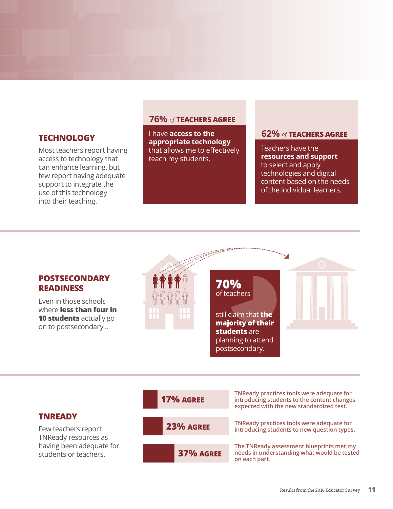Most teachers report having access to technology that can enhance learning, but few report having adequate support to integrate the use of this technology into their teaching.

#### **76%** *of* **TEACHERS AGREE**

I have **access to the appropriate technology** that allows me to effectively teach my students. **FINDLOGY offman access to the 62% of TEACHERS AGREE** 

Teachers have the **resources and support** to select and apply technologies and digital content based on the needs of the individual learners.



Few teachers report TNReady resources as having been adequate for students or teachers.

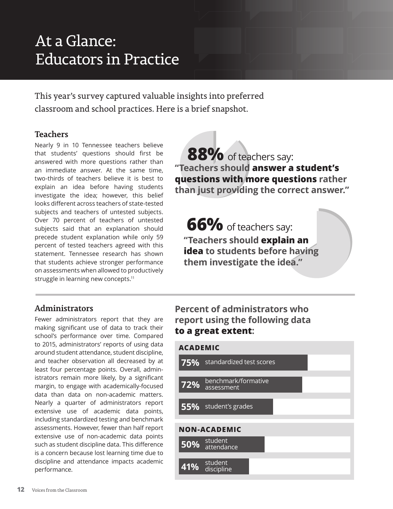## At a Glance: Educators in Practice

This year's survey captured valuable insights into preferred classroom and school practices. Here is a brief snapshot.

#### **Teachers**

Nearly 9 in 10 Tennessee teachers believe that students' questions should first be answered with more questions rather than an immediate answer. At the same time, two-thirds of teachers believe it is best to explain an idea before having students investigate the idea; however, this belief looks different across teachers of state-tested subjects and teachers of untested subjects. Over 70 percent of teachers of untested subjects said that an explanation should precede student explanation while only 59 percent of tested teachers agreed with this statement. Tennessee research has shown that students achieve stronger performance on assessments when allowed to productively struggle in learning new concepts.<sup>11</sup>

### 88% of teachers say: **"Teachers should answer a student's questions with more questions rather than just providing the correct answer."**

**66%** of teachers say: **"Teachers should explain an idea to students before having them investigate the idea."**

#### **Administrators**

Fewer administrators report that they are making significant use of data to track their school's performance over time. Compared to 2015, administrators' reports of using data around student attendance, student discipline, and teacher observation all decreased by at least four percentage points. Overall, administrators remain more likely, by a significant margin, to engage with academically-focused data than data on non-academic matters. Nearly a quarter of administrators report extensive use of academic data points, including standardized testing and benchmark assessments. However, fewer than half report extensive use of non-academic data points such as student discipline data. This difference is a concern because lost learning time due to discipline and attendance impacts academic performance.

### **Percent of administrators who report using the following data to a great extent:**

**41%**

discipline

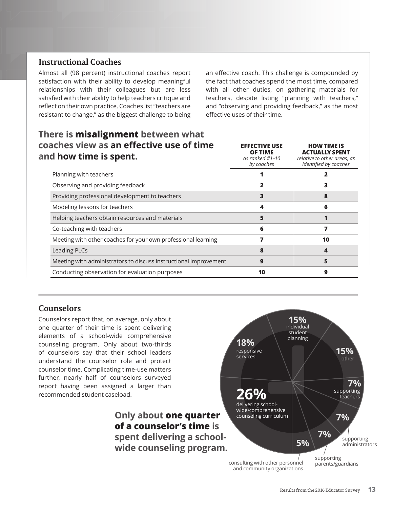#### **Instructional Coaches**

Almost all (98 percent) instructional coaches report satisfaction with their ability to develop meaningful relationships with their colleagues but are less satisfied with their ability to help teachers critique and reflect on their own practice. Coaches list "teachers are resistant to change," as the biggest challenge to being

**There is misalignment between what** 

an effective coach. This challenge is compounded by the fact that coaches spend the most time, compared with all other duties, on gathering materials for teachers, despite listing "planning with teachers," and "observing and providing feedback," as the most effective uses of their time.

| coaches view as an effective use of time<br>and how time is spent. | <b>EFFECTIVE USE</b><br><b>OF TIME</b><br>as ranked $#1-10$<br>by coaches | <b>HOW TIME IS</b><br><b>ACTUALLY SPENT</b><br>relative to other areas, as<br>identified by coaches |
|--------------------------------------------------------------------|---------------------------------------------------------------------------|-----------------------------------------------------------------------------------------------------|
| Planning with teachers                                             |                                                                           |                                                                                                     |
| Observing and providing feedback                                   |                                                                           |                                                                                                     |
| Providing professional development to teachers                     |                                                                           |                                                                                                     |
| Modeling lessons for teachers                                      |                                                                           | 6                                                                                                   |
| Helping teachers obtain resources and materials                    |                                                                           |                                                                                                     |
| Co-teaching with teachers                                          | 6                                                                         |                                                                                                     |
| Meeting with other coaches for your own professional learning      |                                                                           | 10                                                                                                  |
| <b>Leading PLCs</b>                                                |                                                                           |                                                                                                     |
| Meeting with administrators to discuss instructional improvement   | 9                                                                         |                                                                                                     |
| Conducting observation for evaluation purposes                     | 10                                                                        | 9                                                                                                   |

#### **Counselors**

Counselors report that, on average, only about one quarter of their time is spent delivering elements of a school-wide comprehensive counseling program. Only about two-thirds of counselors say that their school leaders understand the counselor role and protect counselor time. Complicating time-use matters further, nearly half of counselors surveyed report having been assigned a larger than recommended student caseload.

> **Only about one quarter of a counselor's time is spent delivering a schoolwide counseling program.**

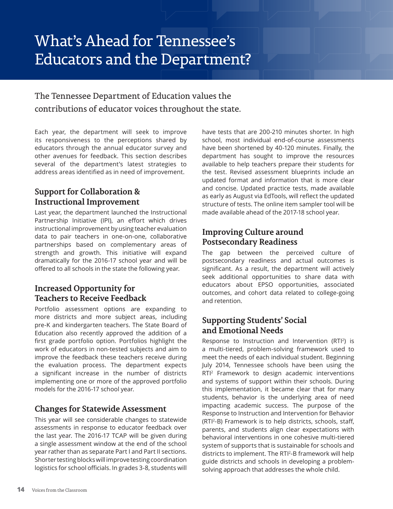## What's Ahead for Tennessee's Educators and the Department?

### The Tennessee Department of Education values the contributions of educator voices throughout the state.

Each year, the department will seek to improve its responsiveness to the perceptions shared by educators through the annual educator survey and other avenues for feedback. This section describes several of the department's latest strategies to address areas identified as in need of improvement.

#### **Support for Collaboration & Instructional Improvement**

Last year, the department launched the Instructional Partnership Initiative (IPI), an effort which drives instructional improvement by using teacher evaluation data to pair teachers in one-on-one, collaborative partnerships based on complementary areas of strength and growth. This initiative will expand dramatically for the 2016-17 school year and will be offered to all schools in the state the following year.

#### **Increased Opportunity for Teachers to Receive Feedback**

Portfolio assessment options are expanding to more districts and more subject areas, including pre-K and kindergarten teachers. The State Board of Education also recently approved the addition of a first grade portfolio option. Portfolios highlight the work of educators in non-tested subjects and aim to improve the feedback these teachers receive during the evaluation process. The department expects a significant increase in the number of districts implementing one or more of the approved portfolio models for the 2016-17 school year.

#### **Changes for Statewide Assessment**

This year will see considerable changes to statewide assessments in response to educator feedback over the last year. The 2016-17 TCAP will be given during a single assessment window at the end of the school year rather than as separate Part I and Part II sections. Shorter testing blocks will improve testing coordination logistics for school officials. In grades 3-8, students will have tests that are 200-210 minutes shorter. In high school, most individual end-of-course assessments have been shortened by 40-120 minutes. Finally, the department has sought to improve the resources available to help teachers prepare their students for the test. Revised assessment blueprints include an updated format and information that is more clear and concise. Updated practice tests, made available as early as August via EdTools, will reflect the updated structure of tests. The online item sampler tool will be made available ahead of the 2017-18 school year.

#### **Improving Culture around Postsecondary Readiness**

The gap between the perceived culture of postsecondary readiness and actual outcomes is significant. As a result, the department will actively seek additional opportunities to share data with educators about EPSO opportunities, associated outcomes, and cohort data related to college-going and retention.

#### **Supporting Students' Social and Emotional Needs**

Response to Instruction and Intervention  $(RTI<sup>2</sup>)$  is a multi-tiered, problem-solving framework used to meet the needs of each individual student. Beginning July 2014, Tennessee schools have been using the RTI<sup>2</sup> Framework to design academic interventions and systems of support within their schools. During this implementation, it became clear that for many students, behavior is the underlying area of need impacting academic success. The purpose of the Response to Instruction and Intervention for Behavior (RTI2 -B) Framework is to help districts, schools, staff, parents, and students align clear expectations with behavioral interventions in one cohesive multi-tiered system of supports that is sustainable for schools and districts to implement. The RTI2 -B framework will help guide districts and schools in developing a problemsolving approach that addresses the whole child.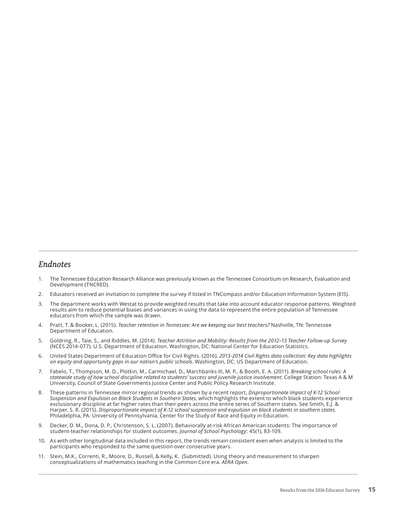#### *Endnotes*

- 1. The Tennessee Education Research Alliance was previously known as the Tennessee Consortium on Research, Evaluation and Development (TNCRED).
- 2. Educators received an invitation to complete the survey if listed in TNCompass and/or Education Information System (EIS).
- 3. The department works with Westat to provide weighted results that take into account educator response patterns. Weighted results aim to reduce potential biases and variances in using the data to represent the entire population of Tennessee educators from which the sample was drawn.
- 4. Pratt, T. & Booker, L. (2015). *Teacher retention in Tennessee: Are we keeping our best teachers?* Nashville, TN: Tennessee Department of Education.
- 5. Goldring, R., Taie, S., and Riddles, M. (2014). *Teacher Attrition and Mobility: Results from the 2012–13 Teacher Follow-up Survey* (NCES 2014-077). U.S. Department of Education. Washington, DC: National Center for Education Statistics.
- 6. United States Department of Education Office for Civil Rights. (2016). *2013-2014 Civil Rights data collection: Key data highlights on equity and opportunity gaps in our nation's public schools*. Washington, DC: US Department of Education.
- 7. Fabelo, T., Thompson, M. D., Plotkin, M., Carmichael, D., Marchbanks III, M. P., & Booth, E. A. (2011). *Breaking school rules: A statewide study of how school discipline related to students' success and juvenile justice involvement*. College Station: Texas A & M University, Council of State Governments Justice Center and Public Policy Research Institute.
- 8. These patterns in Tennessee mirror regional trends as shown by a recent report, *Disproportionate Impact of K-12 School Suspension and Expulsion on Black Students in Southern States*, which highlights the extent to which black students experience exclusionary discipline at far higher rates than their peers across the entire series of Southern states. See Smith, E.J. & Harper, S. R. (2015). *Disproportionate impact of K-12 school suspension and expulsion on black students in southern states*. Philadelphia, PA: University of Pennsylvania, Center for the Study of Race and Equity in Education.
- 9. Decker, D. M., Dona, D. P., Christenson, S. L. (2007). Behaviorally at-risk African American students: The importance of student-teacher relationships for student outcomes. *Journal of School Psychology*: 45(1), 83-109.
- 10. As with other longitudinal data included in this report, the trends remain consistent even when analysis is limited to the participants who responded to the same question over consecutive years.
- 11. Stein, M.K., Correnti, R., Moore, D., Russell, & Kelly, K. (Submitted). Using theory and measurement to sharpen conceptualizations of mathematics teaching in the Common Core era. *AERA Open*.